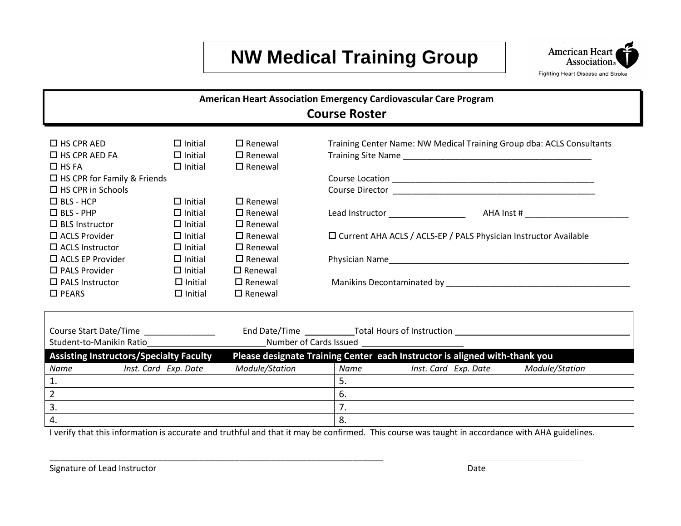## **NW Medical Training Group**



| American Heart Association Emergency Cardiovascular Care Program                                                                              |                      |                   |                                                                                  |                                                                            |  |                |  |
|-----------------------------------------------------------------------------------------------------------------------------------------------|----------------------|-------------------|----------------------------------------------------------------------------------|----------------------------------------------------------------------------|--|----------------|--|
| <b>Course Roster</b>                                                                                                                          |                      |                   |                                                                                  |                                                                            |  |                |  |
|                                                                                                                                               |                      |                   |                                                                                  |                                                                            |  |                |  |
| $\Box$ HS CPR AED                                                                                                                             | $\Box$ Initial       | $\Box$ Renewal    |                                                                                  | Training Center Name: NW Medical Training Group dba: ACLS Consultants      |  |                |  |
| $\Box$ HS CPR AED FA                                                                                                                          | $\Box$ Initial       | $\Box$ Renewal    |                                                                                  |                                                                            |  |                |  |
| $\Box$ HS FA                                                                                                                                  | $\Box$ Initial       | $\Box$ Renewal    |                                                                                  |                                                                            |  |                |  |
| $\Box$ HS CPR for Family & Friends                                                                                                            |                      |                   |                                                                                  |                                                                            |  |                |  |
| $\Box$ HS CPR in Schools                                                                                                                      |                      |                   |                                                                                  |                                                                            |  |                |  |
| $\Box$ BLS - HCP                                                                                                                              | $\Box$ Initial       | $\Box$ Renewal    |                                                                                  |                                                                            |  |                |  |
| $\Box$ BLS - PHP                                                                                                                              | $\Box$ Initial       | $\Box$ Renewal    |                                                                                  |                                                                            |  |                |  |
| $\Box$ BLS Instructor                                                                                                                         | $\Box$ Initial       | $\square$ Renewal |                                                                                  |                                                                            |  |                |  |
| $\Box$ ACLS Provider                                                                                                                          | $\Box$ Initial       | $\Box$ Renewal    |                                                                                  | □ Current AHA ACLS / ACLS-EP / PALS Physician Instructor Available         |  |                |  |
| $\Box$ ACLS Instructor                                                                                                                        | $\Box$ Initial       | $\Box$ Renewal    |                                                                                  |                                                                            |  |                |  |
| $\Box$ ACLS EP Provider                                                                                                                       | $\Box$ Initial       | $\Box$ Renewal    |                                                                                  | Physician Name                                                             |  |                |  |
| $\square$ PALS Provider                                                                                                                       | $\Box$ Initial       | $\square$ Renewal |                                                                                  |                                                                            |  |                |  |
| $\Box$ PALS Instructor                                                                                                                        | $\Box$ Initial       | $\Box$ Renewal    |                                                                                  |                                                                            |  |                |  |
| $\square$ PEARS                                                                                                                               | $\Box$ Initial       | $\Box$ Renewal    |                                                                                  |                                                                            |  |                |  |
|                                                                                                                                               |                      |                   |                                                                                  |                                                                            |  |                |  |
| Course Start Date/Time                                                                                                                        |                      |                   | End Date/Time _____________Total Hours of Instruction __________________________ |                                                                            |  |                |  |
| Student-to-Manikin Ratio                                                                                                                      |                      |                   |                                                                                  |                                                                            |  |                |  |
| <b>Assisting Instructors/Specialty Faculty</b>                                                                                                |                      |                   |                                                                                  | Please designate Training Center each Instructor is aligned with-thank you |  |                |  |
| Name                                                                                                                                          | Inst. Card Exp. Date | Module/Station    | <b>Name</b>                                                                      | Inst. Card Exp. Date                                                       |  | Module/Station |  |
| 1.                                                                                                                                            |                      |                   | 5.                                                                               |                                                                            |  |                |  |
| $\overline{2}$                                                                                                                                |                      |                   | 6.                                                                               |                                                                            |  |                |  |
| 3.                                                                                                                                            |                      |                   | 7.                                                                               |                                                                            |  |                |  |
| 4.                                                                                                                                            |                      |                   | 8.                                                                               |                                                                            |  |                |  |
| Lyerify that this information is accurate and truthful and that it may be confirmed. This source was taught in accordance with AHA quidelines |                      |                   |                                                                                  |                                                                            |  |                |  |

I verify that this information is accurate and truthful and that it may be confirmed. This course was taught in accordance with AHA guidelines.

\_\_\_\_\_\_\_\_\_\_\_\_\_\_\_\_\_\_\_\_\_\_\_\_\_\_\_\_\_\_\_\_\_\_\_\_\_\_\_\_\_\_\_\_\_\_\_\_\_\_\_\_\_\_\_\_\_\_\_\_\_\_\_\_\_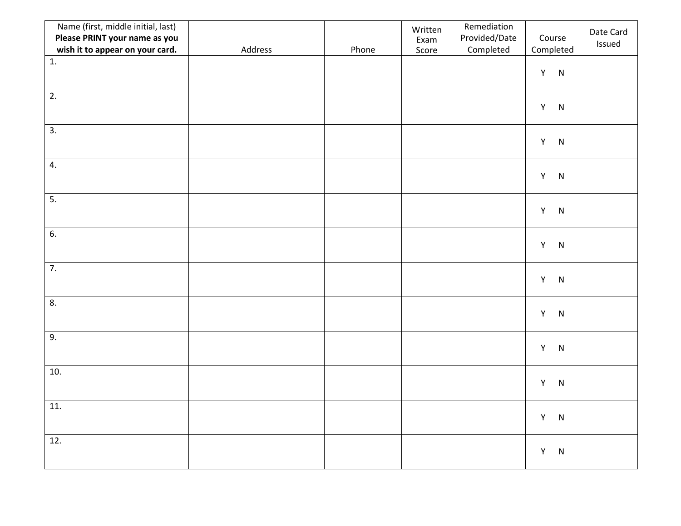| Name (first, middle initial, last)<br>Please PRINT your name as you<br>wish it to appear on your card. | Address | Phone | Written<br>Exam<br>Score | Remediation<br>Provided/Date<br>Completed | Course<br>Completed      | Date Card<br>Issued |
|--------------------------------------------------------------------------------------------------------|---------|-------|--------------------------|-------------------------------------------|--------------------------|---------------------|
| 1.                                                                                                     |         |       |                          |                                           | $Y$ N                    |                     |
| 2.                                                                                                     |         |       |                          |                                           | $\mathsf Y$<br>${\sf N}$ |                     |
| 3.                                                                                                     |         |       |                          |                                           | Y<br>${\sf N}$           |                     |
| 4.                                                                                                     |         |       |                          |                                           | Y N                      |                     |
| 5.                                                                                                     |         |       |                          |                                           | $\,$ N<br>Y              |                     |
| 6.                                                                                                     |         |       |                          |                                           | Y<br>$\,$ N              |                     |
| $\overline{7}$ .                                                                                       |         |       |                          |                                           | Y<br>$\,$ N              |                     |
| 8.                                                                                                     |         |       |                          |                                           | Y<br>N                   |                     |
| $\overline{9}$ .                                                                                       |         |       |                          |                                           | ${\sf N}$<br>Y           |                     |
| 10.                                                                                                    |         |       |                          |                                           | Y<br>${\sf N}$           |                     |
| 11.                                                                                                    |         |       |                          |                                           | Y<br>${\sf N}$           |                     |
| 12.                                                                                                    |         |       |                          |                                           | Y<br>${\sf N}$           |                     |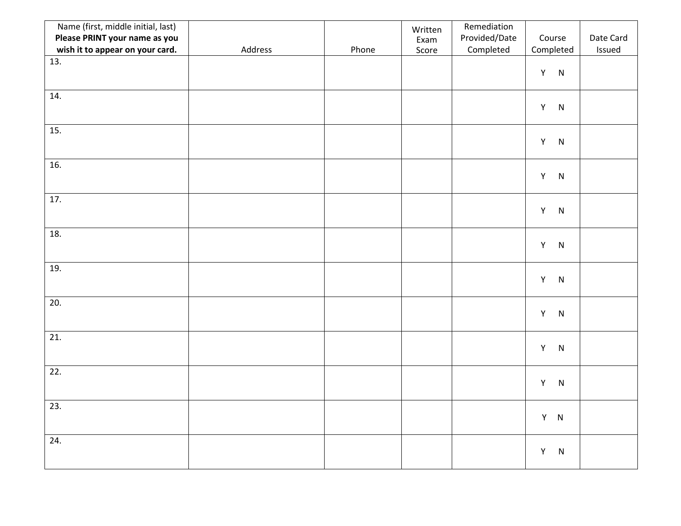| Name (first, middle initial, last)<br>Please PRINT your name as you |         |       | Written<br>Exam | Remediation<br>Provided/Date | Course                   | Date Card |
|---------------------------------------------------------------------|---------|-------|-----------------|------------------------------|--------------------------|-----------|
| wish it to appear on your card.                                     | Address | Phone | Score           | Completed                    | Completed                | Issued    |
| 13.                                                                 |         |       |                 |                              | $Y$ N                    |           |
| 14.                                                                 |         |       |                 |                              | $\mathsf Y$<br>${\sf N}$ |           |
| 15.                                                                 |         |       |                 |                              | Y N                      |           |
| 16.                                                                 |         |       |                 |                              | Y N                      |           |
| 17.                                                                 |         |       |                 |                              | Y N                      |           |
| 18.                                                                 |         |       |                 |                              | Y N                      |           |
| 19.                                                                 |         |       |                 |                              | $Y$ N                    |           |
| 20.                                                                 |         |       |                 |                              | $Y$ N                    |           |
| 21.                                                                 |         |       |                 |                              | Y<br>N                   |           |
| 22.                                                                 |         |       |                 |                              | Y<br>${\sf N}$           |           |
| 23.                                                                 |         |       |                 |                              | $Y$ N                    |           |
| 24.                                                                 |         |       |                 |                              | Y<br>N                   |           |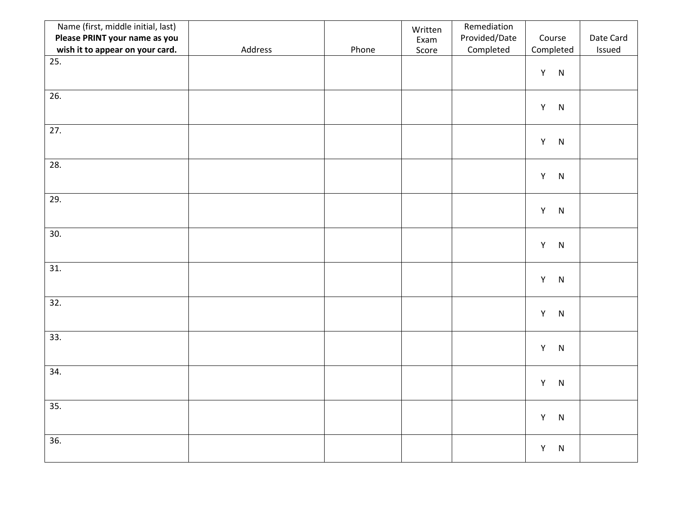| Name (first, middle initial, last)<br>Please PRINT your name as you<br>wish it to appear on your card. | Address | Phone | Written<br>Exam<br>Score | Remediation<br>Provided/Date<br>Completed | Course<br>Completed      | Date Card<br>Issued |
|--------------------------------------------------------------------------------------------------------|---------|-------|--------------------------|-------------------------------------------|--------------------------|---------------------|
| 25.                                                                                                    |         |       |                          |                                           | $Y$ N                    |                     |
| 26.                                                                                                    |         |       |                          |                                           | $\mathsf Y$<br>${\sf N}$ |                     |
| 27.                                                                                                    |         |       |                          |                                           | $\mathsf Y$<br>${\sf N}$ |                     |
| 28.                                                                                                    |         |       |                          |                                           | Y<br>${\sf N}$           |                     |
| 29.                                                                                                    |         |       |                          |                                           | $Y$ N                    |                     |
| 30.                                                                                                    |         |       |                          |                                           | Y<br>N                   |                     |
| 31.                                                                                                    |         |       |                          |                                           | $Y$ N                    |                     |
| 32.                                                                                                    |         |       |                          |                                           | $Y$ N                    |                     |
| 33.                                                                                                    |         |       |                          |                                           | Y<br>N                   |                     |
| 34.                                                                                                    |         |       |                          |                                           | $Y$ N                    |                     |
| $\overline{35.}$                                                                                       |         |       |                          |                                           | $Y$ N                    |                     |
| 36.                                                                                                    |         |       |                          |                                           | Y<br>N                   |                     |